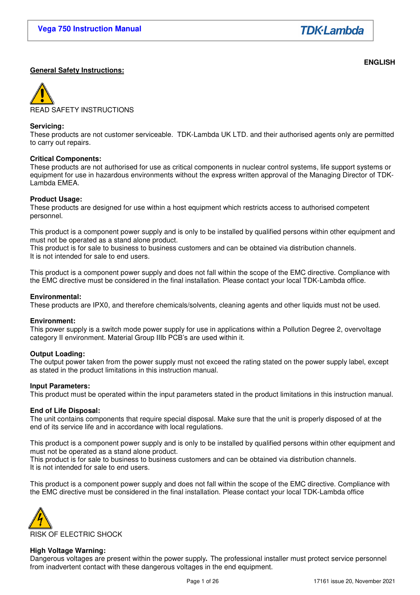**ENGLISH** 

## **General Safety Instructions:**

READ SAFETY INSTRUCTIONS

#### **Servicing:**

These products are not customer serviceable. TDK-Lambda UK LTD. and their authorised agents only are permitted to carry out repairs.

## **Critical Components:**

These products are not authorised for use as critical components in nuclear control systems, life support systems or equipment for use in hazardous environments without the express written approval of the Managing Director of TDK-Lambda EMEA.

## **Product Usage:**

These products are designed for use within a host equipment which restricts access to authorised competent personnel.

This product is a component power supply and is only to be installed by qualified persons within other equipment and must not be operated as a stand alone product.

This product is for sale to business to business customers and can be obtained via distribution channels. It is not intended for sale to end users.

This product is a component power supply and does not fall within the scope of the EMC directive. Compliance with the EMC directive must be considered in the final installation. Please contact your local TDK-Lambda office.

#### **Environmental:**

These products are IPX0, and therefore chemicals/solvents, cleaning agents and other liquids must not be used.

#### **Environment:**

This power supply is a switch mode power supply for use in applications within a Pollution Degree 2, overvoltage category II environment. Material Group IIIb PCB's are used within it.

#### **Output Loading:**

The output power taken from the power supply must not exceed the rating stated on the power supply label, except as stated in the product limitations in this instruction manual.

#### **Input Parameters:**

This product must be operated within the input parameters stated in the product limitations in this instruction manual.

#### **End of Life Disposal:**

The unit contains components that require special disposal. Make sure that the unit is properly disposed of at the end of its service life and in accordance with local regulations.

This product is a component power supply and is only to be installed by qualified persons within other equipment and must not be operated as a stand alone product.

This product is for sale to business to business customers and can be obtained via distribution channels. It is not intended for sale to end users.

This product is a component power supply and does not fall within the scope of the EMC directive. Compliance with the EMC directive must be considered in the final installation. Please contact your local TDK-Lambda office



#### **High Voltage Warning:**

Dangerous voltages are present within the power supply**.** The professional installer must protect service personnel from inadvertent contact with these dangerous voltages in the end equipment.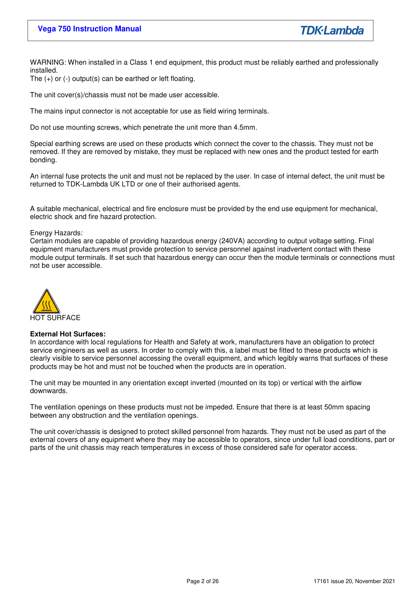**TDK**·Lambda

WARNING: When installed in a Class 1 end equipment, this product must be reliably earthed and professionally installed.

The (+) or (-) output(s) can be earthed or left floating.

The unit cover(s)/chassis must not be made user accessible.

The mains input connector is not acceptable for use as field wiring terminals.

Do not use mounting screws, which penetrate the unit more than 4.5mm.

Special earthing screws are used on these products which connect the cover to the chassis. They must not be removed. If they are removed by mistake, they must be replaced with new ones and the product tested for earth bonding.

An internal fuse protects the unit and must not be replaced by the user. In case of internal defect, the unit must be returned to TDK-Lambda UK LTD or one of their authorised agents.

A suitable mechanical, electrical and fire enclosure must be provided by the end use equipment for mechanical, electric shock and fire hazard protection.

#### Energy Hazards:

Certain modules are capable of providing hazardous energy (240VA) according to output voltage setting. Final equipment manufacturers must provide protection to service personnel against inadvertent contact with these module output terminals. If set such that hazardous energy can occur then the module terminals or connections must not be user accessible.



#### **External Hot Surfaces:**

In accordance with local regulations for Health and Safety at work, manufacturers have an obligation to protect service engineers as well as users. In order to comply with this, a label must be fitted to these products which is clearly visible to service personnel accessing the overall equipment, and which legibly warns that surfaces of these products may be hot and must not be touched when the products are in operation.

The unit may be mounted in any orientation except inverted (mounted on its top) or vertical with the airflow downwards.

The ventilation openings on these products must not be impeded. Ensure that there is at least 50mm spacing between any obstruction and the ventilation openings.

The unit cover/chassis is designed to protect skilled personnel from hazards. They must not be used as part of the external covers of any equipment where they may be accessible to operators, since under full load conditions, part or parts of the unit chassis may reach temperatures in excess of those considered safe for operator access.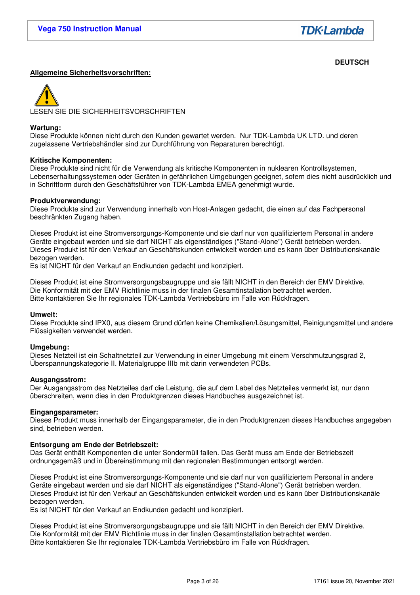**TDK**·Lambda

## **DEUTSCH**

## **Allgemeine Sicherheitsvorschriften:**



#### **Wartung:**

Diese Produkte können nicht durch den Kunden gewartet werden. Nur TDK-Lambda UK LTD. und deren zugelassene Vertriebshändler sind zur Durchführung von Reparaturen berechtigt.

#### **Kritische Komponenten:**

Diese Produkte sind nicht für die Verwendung als kritische Komponenten in nuklearen Kontrollsystemen, Lebenserhaltungssystemen oder Geräten in gefährlichen Umgebungen geeignet, sofern dies nicht ausdrücklich und in Schriftform durch den Geschäftsführer von TDK-Lambda EMEA genehmigt wurde.

#### **Produktverwendung:**

Diese Produkte sind zur Verwendung innerhalb von Host-Anlagen gedacht, die einen auf das Fachpersonal beschränkten Zugang haben.

Dieses Produkt ist eine Stromversorgungs-Komponente und sie darf nur von qualifiziertem Personal in andere Geräte eingebaut werden und sie darf NICHT als eigenständiges ("Stand-Alone") Gerät betrieben werden. Dieses Produkt ist für den Verkauf an Geschäftskunden entwickelt worden und es kann über Distributionskanäle bezogen werden.

Es ist NICHT für den Verkauf an Endkunden gedacht und konzipiert.

Dieses Produkt ist eine Stromversorgungsbaugruppe und sie fällt NICHT in den Bereich der EMV Direktive. Die Konformität mit der EMV Richtlinie muss in der finalen Gesamtinstallation betrachtet werden. Bitte kontaktieren Sie Ihr regionales TDK-Lambda Vertriebsbüro im Falle von Rückfragen.

#### **Umwelt:**

Diese Produkte sind IPX0, aus diesem Grund dürfen keine Chemikalien/Lösungsmittel, Reinigungsmittel und andere Flüssigkeiten verwendet werden.

#### **Umgebung:**

Dieses Netzteil ist ein Schaltnetzteil zur Verwendung in einer Umgebung mit einem Verschmutzungsgrad 2, Überspannungskategorie II. Materialgruppe IIIb mit darin verwendeten PCBs.

#### **Ausgangsstrom:**

Der Ausgangsstrom des Netzteiles darf die Leistung, die auf dem Label des Netzteiles vermerkt ist, nur dann überschreiten, wenn dies in den Produktgrenzen dieses Handbuches ausgezeichnet ist.

#### **Eingangsparameter:**

Dieses Produkt muss innerhalb der Eingangsparameter, die in den Produktgrenzen dieses Handbuches angegeben sind, betrieben werden.

#### **Entsorgung am Ende der Betriebszeit:**

Das Gerät enthält Komponenten die unter Sondermüll fallen. Das Gerät muss am Ende der Betriebszeit ordnungsgemäß und in Übereinstimmung mit den regionalen Bestimmungen entsorgt werden.

Dieses Produkt ist eine Stromversorgungs-Komponente und sie darf nur von qualifiziertem Personal in andere Geräte eingebaut werden und sie darf NICHT als eigenständiges ("Stand-Alone") Gerät betrieben werden. Dieses Produkt ist für den Verkauf an Geschäftskunden entwickelt worden und es kann über Distributionskanäle bezogen werden.

Es ist NICHT für den Verkauf an Endkunden gedacht und konzipiert.

Dieses Produkt ist eine Stromversorgungsbaugruppe und sie fällt NICHT in den Bereich der EMV Direktive. Die Konformität mit der EMV Richtlinie muss in der finalen Gesamtinstallation betrachtet werden. Bitte kontaktieren Sie Ihr regionales TDK-Lambda Vertriebsbüro im Falle von Rückfragen.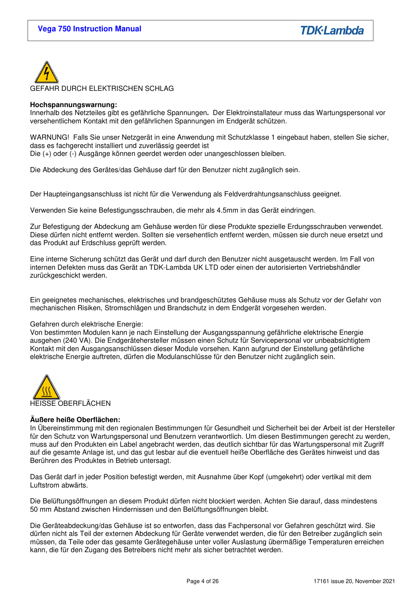

### **Hochspannungswarnung:**

Innerhalb des Netzteiles gibt es gefährliche Spannungen**.** Der Elektroinstallateur muss das Wartungspersonal vor versehentlichem Kontakt mit den gefährlichen Spannungen im Endgerät schützen.

WARNUNG! Falls Sie unser Netzgerät in eine Anwendung mit Schutzklasse 1 eingebaut haben, stellen Sie sicher, dass es fachgerecht installiert und zuverlässig geerdet ist

Die (+) oder (-) Ausgänge können geerdet werden oder unangeschlossen bleiben.

Die Abdeckung des Gerätes/das Gehäuse darf für den Benutzer nicht zugänglich sein.

Der Haupteingangsanschluss ist nicht für die Verwendung als Feldverdrahtungsanschluss geeignet.

Verwenden Sie keine Befestigungsschrauben, die mehr als 4.5mm in das Gerät eindringen.

Zur Befestigung der Abdeckung am Gehäuse werden für diese Produkte spezielle Erdungsschrauben verwendet. Diese dürfen nicht entfernt werden. Sollten sie versehentlich entfernt werden, müssen sie durch neue ersetzt und das Produkt auf Erdschluss geprüft werden.

Eine interne Sicherung schützt das Gerät und darf durch den Benutzer nicht ausgetauscht werden. Im Fall von internen Defekten muss das Gerät an TDK-Lambda UK LTD oder einen der autorisierten Vertriebshändler zurückgeschickt werden.

Ein geeignetes mechanisches, elektrisches und brandgeschütztes Gehäuse muss als Schutz vor der Gefahr von mechanischen Risiken, Stromschlägen und Brandschutz in dem Endgerät vorgesehen werden.

#### Gefahren durch elektrische Energie:

Von bestimmten Modulen kann je nach Einstellung der Ausgangsspannung gefährliche elektrische Energie ausgehen (240 VA). Die Endgerätehersteller müssen einen Schutz für Servicepersonal vor unbeabsichtigtem Kontakt mit den Ausgangsanschlüssen dieser Module vorsehen. Kann aufgrund der Einstellung gefährliche elektrische Energie auftreten, dürfen die Modulanschlüsse für den Benutzer nicht zugänglich sein.



#### **Äußere heiße Oberflächen:**

In Übereinstimmung mit den regionalen Bestimmungen für Gesundheit und Sicherheit bei der Arbeit ist der Hersteller für den Schutz von Wartungspersonal und Benutzern verantwortlich. Um diesen Bestimmungen gerecht zu werden, muss auf den Produkten ein Label angebracht werden, das deutlich sichtbar für das Wartungspersonal mit Zugriff auf die gesamte Anlage ist, und das gut lesbar auf die eventuell heiße Oberfläche des Gerätes hinweist und das Berühren des Produktes in Betrieb untersagt.

Das Gerät darf in jeder Position befestigt werden, mit Ausnahme über Kopf (umgekehrt) oder vertikal mit dem Luftstrom abwärts.

Die Belüftungsöffnungen an diesem Produkt dürfen nicht blockiert werden. Achten Sie darauf, dass mindestens 50 mm Abstand zwischen Hindernissen und den Belüftungsöffnungen bleibt.

Die Geräteabdeckung/das Gehäuse ist so entworfen, dass das Fachpersonal vor Gefahren geschützt wird. Sie dürfen nicht als Teil der externen Abdeckung für Geräte verwendet werden, die für den Betreiber zugänglich sein müssen, da Teile oder das gesamte Gerätegehäuse unter voller Auslastung übermäßige Temperaturen erreichen kann, die für den Zugang des Betreibers nicht mehr als sicher betrachtet werden.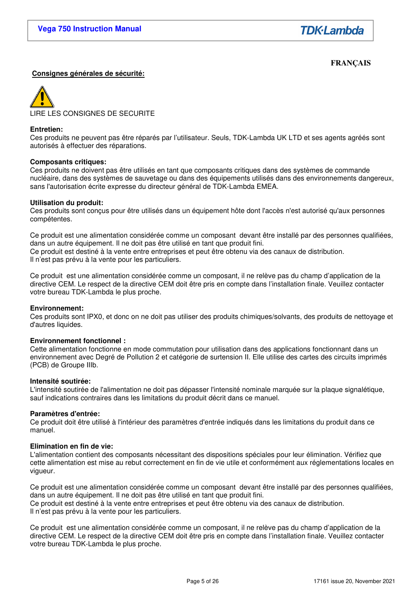# **FRANÇAIS**

### **Consignes générales de sécurité:**



#### **Entretien:**

Ces produits ne peuvent pas être réparés par l'utilisateur. Seuls, TDK-Lambda UK LTD et ses agents agréés sont autorisés à effectuer des réparations.

#### **Composants critiques:**

Ces produits ne doivent pas être utilisés en tant que composants critiques dans des systèmes de commande nucléaire, dans des systèmes de sauvetage ou dans des équipements utilisés dans des environnements dangereux, sans l'autorisation écrite expresse du directeur général de TDK-Lambda EMEA.

#### **Utilisation du produit:**

Ces produits sont conçus pour être utilisés dans un équipement hôte dont l'accès n'est autorisé qu'aux personnes compétentes.

Ce produit est une alimentation considérée comme un composant devant être installé par des personnes qualifiées, dans un autre équipement. Il ne doit pas être utilisé en tant que produit fini. Ce produit est destiné à la vente entre entreprises et peut être obtenu via des canaux de distribution. Il n'est pas prévu à la vente pour les particuliers.

Ce produit est une alimentation considérée comme un composant, il ne relève pas du champ d'application de la directive CEM. Le respect de la directive CEM doit être pris en compte dans l'installation finale. Veuillez contacter votre bureau TDK-Lambda le plus proche.

#### **Environnement:**

Ces produits sont IPX0, et donc on ne doit pas utiliser des produits chimiques/solvants, des produits de nettoyage et d'autres liquides.

#### **Environnement fonctionnel :**

Cette alimentation fonctionne en mode commutation pour utilisation dans des applications fonctionnant dans un environnement avec Degré de Pollution 2 et catégorie de surtension II. Elle utilise des cartes des circuits imprimés (PCB) de Groupe IIIb.

#### **Intensité soutirée:**

L'intensité soutirée de l'alimentation ne doit pas dépasser l'intensité nominale marquée sur la plaque signalétique, sauf indications contraires dans les limitations du produit décrit dans ce manuel.

#### **Paramètres d'entrée:**

Ce produit doit être utilisé à l'intérieur des paramètres d'entrée indiqués dans les limitations du produit dans ce manuel.

#### **Elimination en fin de vie:**

L'alimentation contient des composants nécessitant des dispositions spéciales pour leur élimination. Vérifiez que cette alimentation est mise au rebut correctement en fin de vie utile et conformément aux réglementations locales en vigueur.

Ce produit est une alimentation considérée comme un composant devant être installé par des personnes qualifiées, dans un autre équipement. Il ne doit pas être utilisé en tant que produit fini. Ce produit est destiné à la vente entre entreprises et peut être obtenu via des canaux de distribution. Il n'est pas prévu à la vente pour les particuliers.

Ce produit est une alimentation considérée comme un composant, il ne relève pas du champ d'application de la directive CEM. Le respect de la directive CEM doit être pris en compte dans l'installation finale. Veuillez contacter votre bureau TDK-Lambda le plus proche.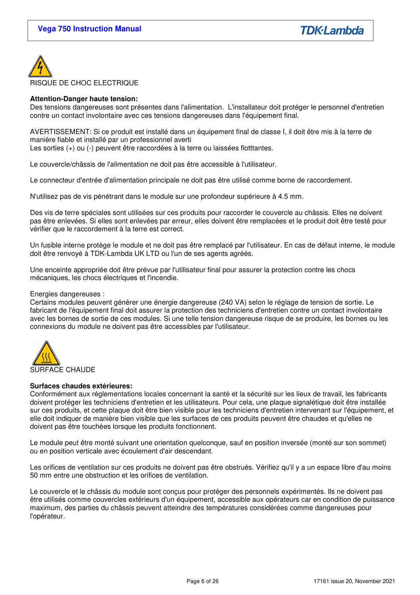

### **Attention-Danger haute tension:**

Des tensions dangereuses sont présentes dans l'alimentation. L'installateur doit protéger le personnel d'entretien contre un contact involontaire avec ces tensions dangereuses dans l'équipement final.

AVERTISSEMENT: Si ce produit est installé dans un équipement final de classe I, il doit être mis à la terre de manière fiable et installé par un professionnel averti Les sorties (+) ou (-) peuvent être raccordées à la terre ou laissées flotttantes.

Le couvercle/châssis de l'alimentation ne doit pas être accessible à l'utilisateur.

Le connecteur d'entrée d'alimentation principale ne doit pas être utilisé comme borne de raccordement.

N'utilisez pas de vis pénétrant dans le module sur une profondeur supérieure à 4.5 mm.

Des vis de terre spéciales sont utilisées sur ces produits pour raccorder le couvercle au châssis. Elles ne doivent pas être enlevées. Si elles sont enlevées par erreur, elles doivent être remplacées et le produit doit être testé pour vérifier que le raccordement à la terre est correct.

Un fusible interne protège le module et ne doit pas être remplacé par l'utilisateur. En cas de défaut interne, le module doit être renvoyé à TDK-Lambda UK LTD ou l'un de ses agents agréés.

Une enceinte appropriée doit être prévue par l'utilisateur final pour assurer la protection contre les chocs mécaniques, les chocs électriques et l'incendie.

#### Energies dangereuses :

Certains modules peuvent générer une énergie dangereuse (240 VA) selon le réglage de tension de sortie. Le fabricant de l'équipement final doit assurer la protection des techniciens d'entretien contre un contact involontaire avec les bornes de sortie de ces modules. Si une telle tension dangereuse risque de se produire, les bornes ou les connexions du module ne doivent pas être accessibles par l'utilisateur.



#### **Surfaces chaudes extérieures:**

Conformément aux réglementations locales concernant la santé et la sécurité sur les lieux de travail, les fabricants doivent protéger les techniciens d'entretien et les utilisateurs. Pour cela, une plaque signalétique doit être installée sur ces produits, et cette plaque doit être bien visible pour les techniciens d'entretien intervenant sur l'équipement, et elle doit indiquer de manière bien visible que les surfaces de ces produits peuvent être chaudes et qu'elles ne doivent pas être touchées lorsque les produits fonctionnent.

Le module peut être monté suivant une orientation quelconque, sauf en position inversée (monté sur son sommet) ou en position verticale avec écoulement d'air descendant.

Les orifices de ventilation sur ces produits ne doivent pas être obstrués. Vérifiez qu'il y a un espace libre d'au moins 50 mm entre une obstruction et les orifices de ventilation.

Le couvercle et le châssis du module sont conçus pour protéger des personnels expérimentés. Ils ne doivent pas être utilisés comme couvercles extérieurs d'un équipement, accessible aux opérateurs car en condition de puissance maximum, des parties du châssis peuvent atteindre des températures considérées comme dangereuses pour l'opérateur.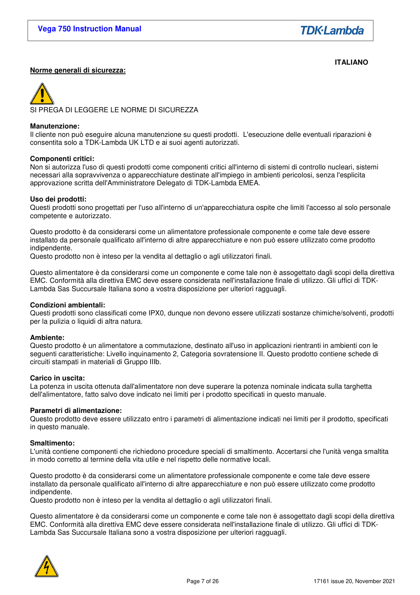# **Norme generali di sicurezza:**

**ITALIANO** 



#### **Manutenzione:**

Il cliente non può eseguire alcuna manutenzione su questi prodotti. L'esecuzione delle eventuali riparazioni è consentita solo a TDK-Lambda UK LTD e ai suoi agenti autorizzati.

#### **Componenti critici:**

Non si autorizza l'uso di questi prodotti come componenti critici all'interno di sistemi di controllo nucleari, sistemi necessari alla sopravvivenza o apparecchiature destinate all'impiego in ambienti pericolosi, senza l'esplicita approvazione scritta dell'Amministratore Delegato di TDK-Lambda EMEA.

#### **Uso dei prodotti:**

Questi prodotti sono progettati per l'uso all'interno di un'apparecchiatura ospite che limiti l'accesso al solo personale competente e autorizzato.

Questo prodotto è da considerarsi come un alimentatore professionale componente e come tale deve essere installato da personale qualificato all'interno di altre apparecchiature e non può essere utilizzato come prodotto indipendente.

Questo prodotto non è inteso per la vendita al dettaglio o agli utilizzatori finali.

Questo alimentatore è da considerarsi come un componente e come tale non è assogettato dagli scopi della direttiva EMC. Conformità alla direttiva EMC deve essere considerata nell'installazione finale di utilizzo. Gli uffici di TDK-Lambda Sas Succursale Italiana sono a vostra disposizione per ulteriori ragguagli.

#### **Condizioni ambientali:**

Questi prodotti sono classificati come IPX0, dunque non devono essere utilizzati sostanze chimiche/solventi, prodotti per la pulizia o liquidi di altra natura.

#### **Ambiente:**

Questo prodotto è un alimentatore a commutazione, destinato all'uso in applicazioni rientranti in ambienti con le seguenti caratteristiche: Livello inquinamento 2, Categoria sovratensione II. Questo prodotto contiene schede di circuiti stampati in materiali di Gruppo IIIb.

#### **Carico in uscita:**

La potenza in uscita ottenuta dall'alimentatore non deve superare la potenza nominale indicata sulla targhetta dell'alimentatore, fatto salvo dove indicato nei limiti per i prodotto specificati in questo manuale.

#### **Parametri di alimentazione:**

Questo prodotto deve essere utilizzato entro i parametri di alimentazione indicati nei limiti per il prodotto, specificati in questo manuale.

#### **Smaltimento:**

L'unità contiene componenti che richiedono procedure speciali di smaltimento. Accertarsi che l'unità venga smaltita in modo corretto al termine della vita utile e nel rispetto delle normative locali.

Questo prodotto è da considerarsi come un alimentatore professionale componente e come tale deve essere installato da personale qualificato all'interno di altre apparecchiature e non può essere utilizzato come prodotto indipendente.

Questo prodotto non è inteso per la vendita al dettaglio o agli utilizzatori finali.

Questo alimentatore è da considerarsi come un componente e come tale non è assogettato dagli scopi della direttiva EMC. Conformità alla direttiva EMC deve essere considerata nell'installazione finale di utilizzo. Gli uffici di TDK-Lambda Sas Succursale Italiana sono a vostra disposizione per ulteriori ragguagli.

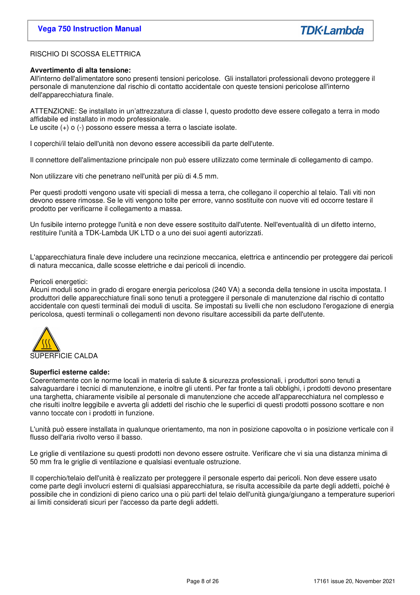### RISCHIO DI SCOSSA ELETTRICA

#### **Avvertimento di alta tensione:**

All'interno dell'alimentatore sono presenti tensioni pericolose. Gli installatori professionali devono proteggere il personale di manutenzione dal rischio di contatto accidentale con queste tensioni pericolose all'interno dell'apparecchiatura finale.

ATTENZIONE: Se installato in un'attrezzatura di classe I, questo prodotto deve essere collegato a terra in modo affidabile ed installato in modo professionale.

Le uscite (+) o (-) possono essere messa a terra o lasciate isolate.

I coperchi/il telaio dell'unità non devono essere accessibili da parte dell'utente.

Il connettore dell'alimentazione principale non può essere utilizzato come terminale di collegamento di campo.

Non utilizzare viti che penetrano nell'unità per più di 4.5 mm.

Per questi prodotti vengono usate viti speciali di messa a terra, che collegano il coperchio al telaio. Tali viti non devono essere rimosse. Se le viti vengono tolte per errore, vanno sostituite con nuove viti ed occorre testare il prodotto per verificarne il collegamento a massa.

Un fusibile interno protegge l'unità e non deve essere sostituito dall'utente. Nell'eventualità di un difetto interno, restituire l'unità a TDK-Lambda UK LTD o a uno dei suoi agenti autorizzati.

L'apparecchiatura finale deve includere una recinzione meccanica, elettrica e antincendio per proteggere dai pericoli di natura meccanica, dalle scosse elettriche e dai pericoli di incendio.

#### Pericoli energetici:

Alcuni moduli sono in grado di erogare energia pericolosa (240 VA) a seconda della tensione in uscita impostata. I produttori delle apparecchiature finali sono tenuti a proteggere il personale di manutenzione dal rischio di contatto accidentale con questi terminali dei moduli di uscita. Se impostati su livelli che non escludono l'erogazione di energia pericolosa, questi terminali o collegamenti non devono risultare accessibili da parte dell'utente.



#### **Superfici esterne calde:**

Coerentemente con le norme locali in materia di salute & sicurezza professionali, i produttori sono tenuti a salvaguardare i tecnici di manutenzione, e inoltre gli utenti. Per far fronte a tali obblighi, i prodotti devono presentare una targhetta, chiaramente visibile al personale di manutenzione che accede all'apparecchiatura nel complesso e che risulti inoltre leggibile e avverta gli addetti del rischio che le superfici di questi prodotti possono scottare e non vanno toccate con i prodotti in funzione.

L'unità può essere installata in qualunque orientamento, ma non in posizione capovolta o in posizione verticale con il flusso dell'aria rivolto verso il basso.

Le griglie di ventilazione su questi prodotti non devono essere ostruite. Verificare che vi sia una distanza minima di 50 mm fra le griglie di ventilazione e qualsiasi eventuale ostruzione.

Il coperchio/telaio dell'unità è realizzato per proteggere il personale esperto dai pericoli. Non deve essere usato come parte degli involucri esterni di qualsiasi apparecchiatura, se risulta accessibile da parte degli addetti, poiché è possibile che in condizioni di pieno carico una o più parti del telaio dell'unità giunga/giungano a temperature superiori ai limiti considerati sicuri per l'accesso da parte degli addetti.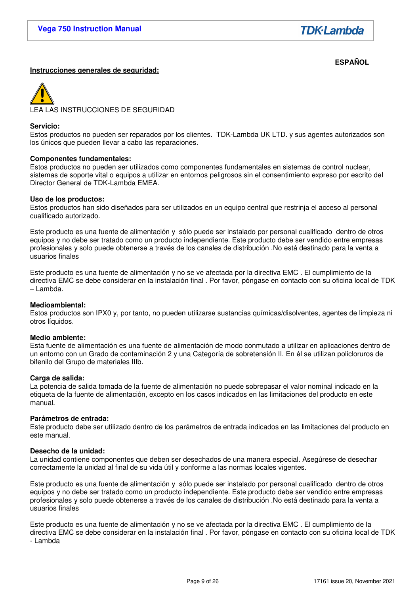**TDK**·Lambda

#### **ESPAÑOL Instrucciones generales de seguridad:**

A LAS INSTRUCCIONES DE SEGURIDAD

#### **Servicio:**

Estos productos no pueden ser reparados por los clientes. TDK-Lambda UK LTD. y sus agentes autorizados son los únicos que pueden llevar a cabo las reparaciones.

#### **Componentes fundamentales:**

Estos productos no pueden ser utilizados como componentes fundamentales en sistemas de control nuclear, sistemas de soporte vital o equipos a utilizar en entornos peligrosos sin el consentimiento expreso por escrito del Director General de TDK-Lambda EMEA.

#### **Uso de los productos:**

Estos productos han sido diseñados para ser utilizados en un equipo central que restrinja el acceso al personal cualificado autorizado.

Este producto es una fuente de alimentación y sólo puede ser instalado por personal cualificado dentro de otros equipos y no debe ser tratado como un producto independiente. Este producto debe ser vendido entre empresas profesionales y solo puede obtenerse a través de los canales de distribución .No está destinado para la venta a usuarios finales

Este producto es una fuente de alimentación y no se ve afectada por la directiva EMC . El cumplimiento de la directiva EMC se debe considerar en la instalación final . Por favor, póngase en contacto con su oficina local de TDK – Lambda.

#### **Medioambiental:**

Estos productos son IPX0 y, por tanto, no pueden utilizarse sustancias químicas/disolventes, agentes de limpieza ni otros líquidos.

#### **Medio ambiente:**

Esta fuente de alimentación es una fuente de alimentación de modo conmutado a utilizar en aplicaciones dentro de un entorno con un Grado de contaminación 2 y una Categoría de sobretensión II. En él se utilizan policloruros de bifenilo del Grupo de materiales IIIb.

#### **Carga de salida:**

La potencia de salida tomada de la fuente de alimentación no puede sobrepasar el valor nominal indicado en la etiqueta de la fuente de alimentación, excepto en los casos indicados en las limitaciones del producto en este manual.

#### **Parámetros de entrada:**

Este producto debe ser utilizado dentro de los parámetros de entrada indicados en las limitaciones del producto en este manual.

#### **Desecho de la unidad:**

La unidad contiene componentes que deben ser desechados de una manera especial. Asegúrese de desechar correctamente la unidad al final de su vida útil y conforme a las normas locales vigentes.

Este producto es una fuente de alimentación y sólo puede ser instalado por personal cualificado dentro de otros equipos y no debe ser tratado como un producto independiente. Este producto debe ser vendido entre empresas profesionales y solo puede obtenerse a través de los canales de distribución .No está destinado para la venta a usuarios finales

Este producto es una fuente de alimentación y no se ve afectada por la directiva EMC . El cumplimiento de la directiva EMC se debe considerar en la instalación final . Por favor, póngase en contacto con su oficina local de TDK - Lambda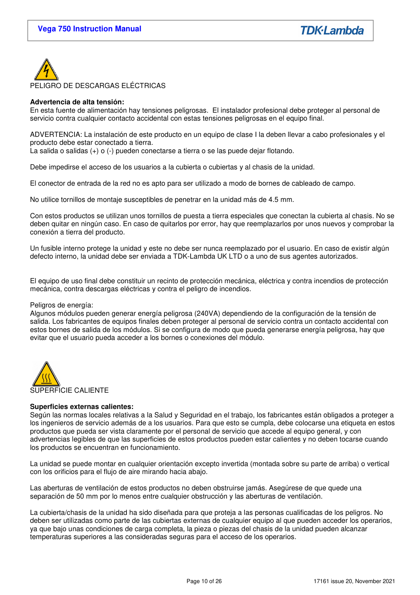

## **Advertencia de alta tensión:**

En esta fuente de alimentación hay tensiones peligrosas. El instalador profesional debe proteger al personal de servicio contra cualquier contacto accidental con estas tensiones peligrosas en el equipo final.

ADVERTENCIA: La instalación de este producto en un equipo de clase I la deben llevar a cabo profesionales y el producto debe estar conectado a tierra.

La salida o salidas (+) o (-) pueden conectarse a tierra o se las puede dejar flotando.

Debe impedirse el acceso de los usuarios a la cubierta o cubiertas y al chasis de la unidad.

El conector de entrada de la red no es apto para ser utilizado a modo de bornes de cableado de campo.

No utilice tornillos de montaje susceptibles de penetrar en la unidad más de 4.5 mm.

Con estos productos se utilizan unos tornillos de puesta a tierra especiales que conectan la cubierta al chasis. No se deben quitar en ningún caso. En caso de quitarlos por error, hay que reemplazarlos por unos nuevos y comprobar la conexión a tierra del producto.

Un fusible interno protege la unidad y este no debe ser nunca reemplazado por el usuario. En caso de existir algún defecto interno, la unidad debe ser enviada a TDK-Lambda UK LTD o a uno de sus agentes autorizados.

El equipo de uso final debe constituir un recinto de protección mecánica, eléctrica y contra incendios de protección mecánica, contra descargas eléctricas y contra el peligro de incendios.

#### Peligros de energía:

Algunos módulos pueden generar energía peligrosa (240VA) dependiendo de la configuración de la tensión de salida. Los fabricantes de equipos finales deben proteger al personal de servicio contra un contacto accidental con estos bornes de salida de los módulos. Si se configura de modo que pueda generarse energía peligrosa, hay que evitar que el usuario pueda acceder a los bornes o conexiones del módulo.



#### **Superficies externas calientes:**

Según las normas locales relativas a la Salud y Seguridad en el trabajo, los fabricantes están obligados a proteger a los ingenieros de servicio además de a los usuarios. Para que esto se cumpla, debe colocarse una etiqueta en estos productos que pueda ser vista claramente por el personal de servicio que accede al equipo general, y con advertencias legibles de que las superficies de estos productos pueden estar calientes y no deben tocarse cuando los productos se encuentran en funcionamiento.

La unidad se puede montar en cualquier orientación excepto invertida (montada sobre su parte de arriba) o vertical con los orificios para el flujo de aire mirando hacia abajo.

Las aberturas de ventilación de estos productos no deben obstruirse jamás. Asegúrese de que quede una separación de 50 mm por lo menos entre cualquier obstrucción y las aberturas de ventilación.

La cubierta/chasis de la unidad ha sido diseñada para que proteja a las personas cualificadas de los peligros. No deben ser utilizadas como parte de las cubiertas externas de cualquier equipo al que pueden acceder los operarios, ya que bajo unas condiciones de carga completa, la pieza o piezas del chasis de la unidad pueden alcanzar temperaturas superiores a las consideradas seguras para el acceso de los operarios.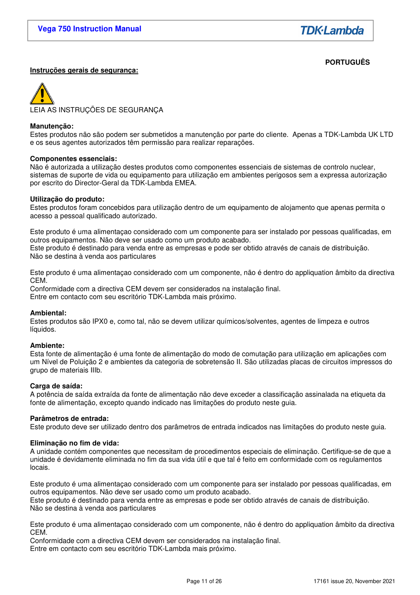# **PORTUGUÊS**

## **Instruções gerais de segurança:**

LEIA AS INSTRUÇÕES DE SEGURANÇA

#### **Manutenção:**

Estes produtos não são podem ser submetidos a manutenção por parte do cliente. Apenas a TDK-Lambda UK LTD e os seus agentes autorizados têm permissão para realizar reparações.

#### **Componentes essenciais:**

Não é autorizada a utilização destes produtos como componentes essenciais de sistemas de controlo nuclear, sistemas de suporte de vida ou equipamento para utilização em ambientes perigosos sem a expressa autorização por escrito do Director-Geral da TDK-Lambda EMEA.

#### **Utilização do produto:**

Estes produtos foram concebidos para utilização dentro de um equipamento de alojamento que apenas permita o acesso a pessoal qualificado autorizado.

Este produto é uma alimentaçao considerado com um componente para ser instalado por pessoas qualificadas, em outros equipamentos. Não deve ser usado como um produto acabado. Este produto é destinado para venda entre as empresas e pode ser obtido através de canais de distribuição. Não se destina à venda aos particulares

Este produto é uma alimentaçao considerado com um componente, não é dentro do appliquation âmbito da directiva CEM.

Conformidade com a directiva CEM devem ser considerados na instalação final. Entre em contacto com seu escritório TDK-Lambda mais próximo.

#### **Ambiental:**

Estes produtos são IPX0 e, como tal, não se devem utilizar químicos/solventes, agentes de limpeza e outros líquidos.

#### **Ambiente:**

Esta fonte de alimentação é uma fonte de alimentação do modo de comutação para utilização em aplicações com um Nível de Poluição 2 e ambientes da categoria de sobretensão II. São utilizadas placas de circuitos impressos do grupo de materiais IIIb.

#### **Carga de saída:**

A potência de saída extraída da fonte de alimentação não deve exceder a classificação assinalada na etiqueta da fonte de alimentação, excepto quando indicado nas limitações do produto neste guia.

#### **Parâmetros de entrada:**

Este produto deve ser utilizado dentro dos parâmetros de entrada indicados nas limitações do produto neste guia.

#### **Eliminação no fim de vida:**

A unidade contém componentes que necessitam de procedimentos especiais de eliminação. Certifique-se de que a unidade é devidamente eliminada no fim da sua vida útil e que tal é feito em conformidade com os regulamentos locais.

Este produto é uma alimentaçao considerado com um componente para ser instalado por pessoas qualificadas, em outros equipamentos. Não deve ser usado como um produto acabado.

Este produto é destinado para venda entre as empresas e pode ser obtido através de canais de distribuição. Não se destina à venda aos particulares

Este produto é uma alimentaçao considerado com um componente, não é dentro do appliquation âmbito da directiva CEM.

Conformidade com a directiva CEM devem ser considerados na instalação final. Entre em contacto com seu escritório TDK-Lambda mais próximo.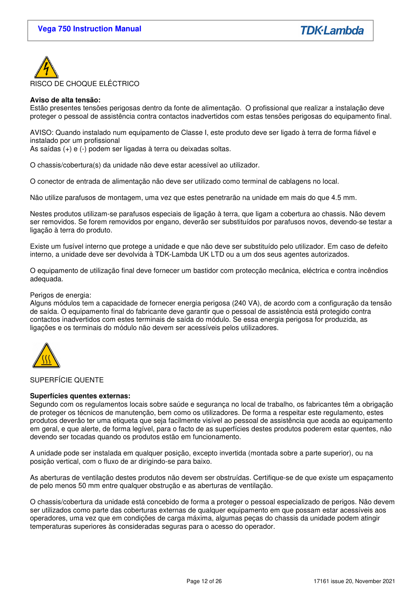

### **Aviso de alta tensão:**

Estão presentes tensões perigosas dentro da fonte de alimentação. O profissional que realizar a instalação deve proteger o pessoal de assistência contra contactos inadvertidos com estas tensões perigosas do equipamento final.

AVISO: Quando instalado num equipamento de Classe I, este produto deve ser ligado à terra de forma fiável e instalado por um profissional

As saídas (+) e (-) podem ser ligadas à terra ou deixadas soltas.

O chassis/cobertura(s) da unidade não deve estar acessível ao utilizador.

O conector de entrada de alimentação não deve ser utilizado como terminal de cablagens no local.

Não utilize parafusos de montagem, uma vez que estes penetrarão na unidade em mais do que 4.5 mm.

Nestes produtos utilizam-se parafusos especiais de ligação à terra, que ligam a cobertura ao chassis. Não devem ser removidos. Se forem removidos por engano, deverão ser substituídos por parafusos novos, devendo-se testar a ligação à terra do produto.

Existe um fusível interno que protege a unidade e que não deve ser substituído pelo utilizador. Em caso de defeito interno, a unidade deve ser devolvida à TDK-Lambda UK LTD ou a um dos seus agentes autorizados.

O equipamento de utilização final deve fornecer um bastidor com protecção mecânica, eléctrica e contra incêndios adequada.

#### Perigos de energia:

Alguns módulos tem a capacidade de fornecer energia perigosa (240 VA), de acordo com a configuração da tensão de saída. O equipamento final do fabricante deve garantir que o pessoal de assistência está protegido contra contactos inadvertidos com estes terminais de saída do módulo. Se essa energia perigosa for produzida, as ligações e os terminais do módulo não devem ser acessíveis pelos utilizadores.



#### SUPERFÍCIE QUENTE

#### **Superfícies quentes externas:**

Segundo com os regulamentos locais sobre saúde e segurança no local de trabalho, os fabricantes têm a obrigação de proteger os técnicos de manutenção, bem como os utilizadores. De forma a respeitar este regulamento, estes produtos deverão ter uma etiqueta que seja facilmente visível ao pessoal de assistência que aceda ao equipamento em geral, e que alerte, de forma legível, para o facto de as superfícies destes produtos poderem estar quentes, não devendo ser tocadas quando os produtos estão em funcionamento.

A unidade pode ser instalada em qualquer posição, excepto invertida (montada sobre a parte superior), ou na posição vertical, com o fluxo de ar dirigindo-se para baixo.

As aberturas de ventilação destes produtos não devem ser obstruídas. Certifique-se de que existe um espaçamento de pelo menos 50 mm entre qualquer obstrução e as aberturas de ventilação.

O chassis/cobertura da unidade está concebido de forma a proteger o pessoal especializado de perigos. Não devem ser utilizados como parte das coberturas externas de qualquer equipamento em que possam estar acessíveis aos operadores, uma vez que em condições de carga máxima, algumas peças do chassis da unidade podem atingir temperaturas superiores às consideradas seguras para o acesso do operador.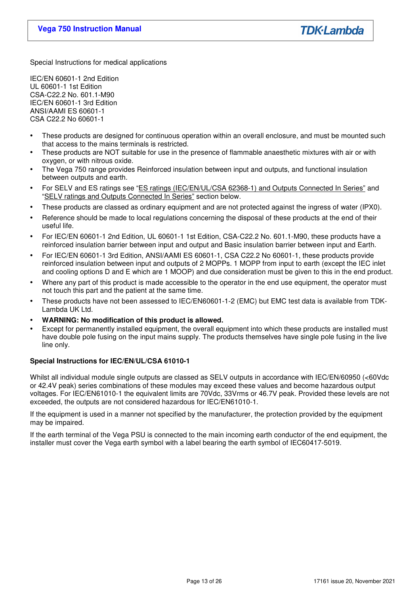Special Instructions for medical applications

IEC/EN 60601-1 2nd Edition UL 60601-1 1st Edition CSA-C22.2 No. 601.1-M90 IEC/EN 60601-1 3rd Edition ANSI/AAMI ES 60601-1 CSA C22.2 No 60601-1

- These products are designed for continuous operation within an overall enclosure, and must be mounted such that access to the mains terminals is restricted.
- These products are NOT suitable for use in the presence of flammable anaesthetic mixtures with air or with oxygen, or with nitrous oxide.
- The Vega 750 range provides Reinforced insulation between input and outputs, and functional insulation between outputs and earth.
- For SELV and ES ratings see "ES ratings (IEC/EN/UL/CSA 62368-1) and Outputs Connected In Series" and "SELV ratings and Outputs Connected In Series" section below.
- These products are classed as ordinary equipment and are not protected against the ingress of water (IPX0).
- Reference should be made to local regulations concerning the disposal of these products at the end of their useful life.
- For IEC/EN 60601-1 2nd Edition, UL 60601-1 1st Edition, CSA-C22.2 No. 601.1-M90, these products have a reinforced insulation barrier between input and output and Basic insulation barrier between input and Earth.
- For IEC/EN 60601-1 3rd Edition, ANSI/AAMI ES 60601-1, CSA C22.2 No 60601-1, these products provide reinforced insulation between input and outputs of 2 MOPPs. 1 MOPP from input to earth (except the IEC inlet and cooling options D and E which are 1 MOOP) and due consideration must be given to this in the end product.
- Where any part of this product is made accessible to the operator in the end use equipment, the operator must not touch this part and the patient at the same time.
- These products have not been assessed to IEC/EN60601-1-2 (EMC) but EMC test data is available from TDK-Lambda UK Ltd.
- **WARNING: No modification of this product is allowed.**
- Except for permanently installed equipment, the overall equipment into which these products are installed must have double pole fusing on the input mains supply. The products themselves have single pole fusing in the live line only.

## **Special Instructions for IEC/EN/UL/CSA 61010-1**

Whilst all individual module single outputs are classed as SELV outputs in accordance with IEC/EN/60950 (<60Vdc or 42.4V peak) series combinations of these modules may exceed these values and become hazardous output voltages. For IEC/EN61010-1 the equivalent limits are 70Vdc, 33Vrms or 46.7V peak. Provided these levels are not exceeded, the outputs are not considered hazardous for IEC/EN61010-1.

If the equipment is used in a manner not specified by the manufacturer, the protection provided by the equipment may be impaired.

If the earth terminal of the Vega PSU is connected to the main incoming earth conductor of the end equipment, the installer must cover the Vega earth symbol with a label bearing the earth symbol of IEC60417-5019.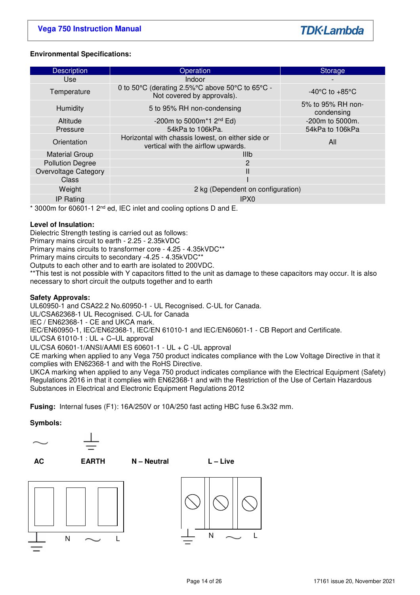## **Environmental Specifications:**

| <b>Description</b>      | Operation                                                                               |                                    |  |  |  |
|-------------------------|-----------------------------------------------------------------------------------------|------------------------------------|--|--|--|
|                         |                                                                                         | <b>Storage</b>                     |  |  |  |
| <b>Use</b>              | Indoor                                                                                  |                                    |  |  |  |
| Temperature             | 0 to 50°C (derating 2.5%°C above 50°C to 65°C -<br>Not covered by approvals).           | $-40^{\circ}$ C to $+85^{\circ}$ C |  |  |  |
| <b>Humidity</b>         | 5 to 95% RH non-condensing                                                              | 5% to 95% RH non-<br>condensing    |  |  |  |
| Altitude                | -200m to 5000m*1 $2^{nd}$ Ed)                                                           | $-200m$ to 5000 $m$ .              |  |  |  |
| Pressure                | 54kPa to 106kPa.                                                                        | 54kPa to 106kPa                    |  |  |  |
| Orientation             | Horizontal with chassis lowest, on either side or<br>vertical with the airflow upwards. | All                                |  |  |  |
| <b>Material Group</b>   | <b>IIIb</b>                                                                             |                                    |  |  |  |
| <b>Pollution Degree</b> | $\overline{2}$                                                                          |                                    |  |  |  |
| Overvoltage Category    | Ш                                                                                       |                                    |  |  |  |
| Class                   |                                                                                         |                                    |  |  |  |
| Weight                  | 2 kg (Dependent on configuration)                                                       |                                    |  |  |  |
| <b>IP Rating</b>        | IPX <sub>0</sub>                                                                        |                                    |  |  |  |

 $*$  3000m for 60601-1 2<sup>nd</sup> ed, IEC inlet and cooling options D and E.

## **Level of Insulation:**

Dielectric Strength testing is carried out as follows:

Primary mains circuit to earth - 2.25 - 2.35kVDC

Primary mains circuits to transformer core - 4.25 - 4.35kVDC\*\*

Primary mains circuits to secondary -4.25 - 4.35kVDC\*\*

Outputs to each other and to earth are isolated to 200VDC.

\*\*This test is not possible with Y capacitors fitted to the unit as damage to these capacitors may occur. It is also necessary to short circuit the outputs together and to earth

#### **Safety Approvals:**

UL60950-1 and CSA22.2 No.60950-1 - UL Recognised. C-UL for Canada.

UL/CSA62368-1 UL Recognised. C-UL for Canada

IEC / EN62368-1 - CE and UKCA mark.

IEC/EN60950-1, IEC/EN62368-1, IEC/EN 61010-1 and IEC/EN60601-1 - CB Report and Certificate.

UL/CSA 61010-1 : UL + C–UL approval

UL/CSA 60601-1/ANSI/AAMI ES 60601-1 - UL + C -UL approval

CE marking when applied to any Vega 750 product indicates compliance with the Low Voltage Directive in that it complies with EN62368-1 and with the RoHS Directive.

UKCA marking when applied to any Vega 750 product indicates compliance with the Electrical Equipment (Safety) Regulations 2016 in that it complies with EN62368-1 and with the Restriction of the Use of Certain Hazardous Substances in Electrical and Electronic Equipment Regulations 2012

**Fusing:** Internal fuses (F1): 16A/250V or 10A/250 fast acting HBC fuse 6.3x32 mm.

#### **Symbols:**



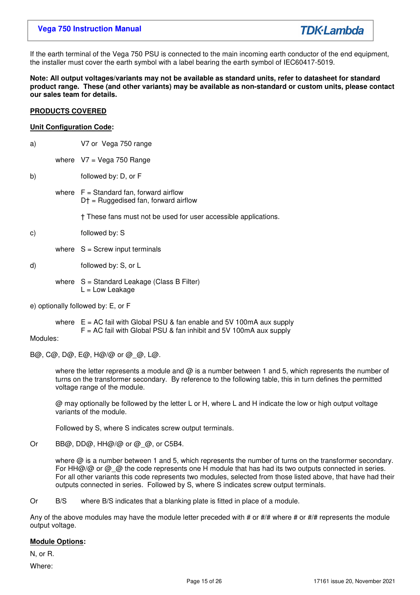If the earth terminal of the Vega 750 PSU is connected to the main incoming earth conductor of the end equipment, the installer must cover the earth symbol with a label bearing the earth symbol of IEC60417-5019.

#### **Note: All output voltages/variants may not be available as standard units, refer to datasheet for standard product range. These (and other variants) may be available as non-standard or custom units, please contact our sales team for details.**

### **PRODUCTS COVERED**

## **Unit Configuration Code:**

where  $V7 = V$ ega 750 Range

- b) followed by: D, or F
	- where  $F =$  Standard fan, forward airflow D† = Ruggedised fan, forward airflow

† These fans must not be used for user accessible applications.

- c) followed by: S
	- where  $S =$  Screw input terminals
- d) followed by: S, or L
	- where  $S =$  Standard Leakage (Class B Filter)  $L = Low$  Leakage
- e) optionally followed by: E, or F

where  $E = AC$  fail with Global PSU & fan enable and 5V 100mA aux supply  $F = AC$  fail with Global PSU & fan inhibit and 5V 100mA aux supply

Modules:

B@, C@, D@, E@, H@/@ or @\_@, L@.

where the letter represents a module and  $\omega$  is a number between 1 and 5, which represents the number of turns on the transformer secondary. By reference to the following table, this in turn defines the permitted voltage range of the module.

 @ may optionally be followed by the letter L or H, where L and H indicate the low or high output voltage variants of the module.

Followed by S, where S indicates screw output terminals.

Or BB@, DD@, HH@/@ or @\_@, or C5B4.

where  $\omega$  is a number between 1 and 5, which represents the number of turns on the transformer secondary. For HH@/@ or @ @ the code represents one H module that has had its two outputs connected in series. For all other variants this code represents two modules, selected from those listed above, that have had their outputs connected in series. Followed by S, where S indicates screw output terminals.

Or B/S where B/S indicates that a blanking plate is fitted in place of a module.

Any of the above modules may have the module letter preceded with # or  $\#/\#$  where # or  $\#/\#$  represents the module output voltage.

## **Module Options:**

N, or R.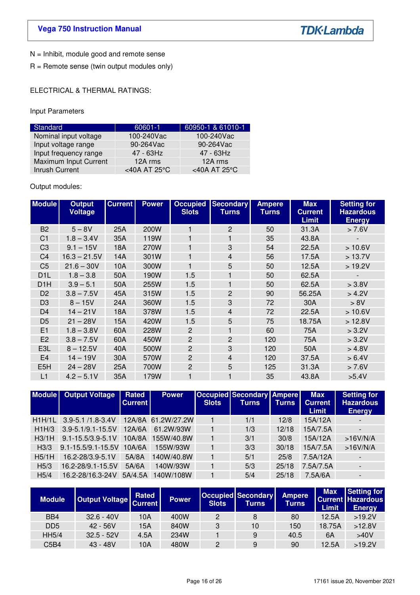**TDK-Lambda** 

N = Inhibit, module good and remote sense

R = Remote sense (twin output modules only)

ELECTRICAL & THERMAL RATINGS:

Input Parameters

| Standard              | 60601-1                 | 60950-1 & 61010-1       |
|-----------------------|-------------------------|-------------------------|
| Nominal input voltage | 100-240Vac              | 100-240Vac              |
| Input voltage range   | 90-264Vac               | 90-264Vac               |
| Input frequency range | $47 - 63$ Hz            | 47 - 63Hz               |
| Maximum Input Current | 12A rms                 | 12A rms                 |
| Inrush Current        | <40A AT 25 $^{\circ}$ C | <40A AT 25 $^{\circ}$ C |

Output modules:

| <b>Module</b>    | <b>Output</b><br><b>Voltage</b> | <b>Current</b> | <b>Power</b> | <b>Slots</b>   | <b>Occupied Secondary</b><br><b>Turns</b> | <b>Ampere</b><br><b>Turns</b> | <b>Max</b><br><b>Current</b><br><b>Limit</b> | <b>Setting for</b><br><b>Hazardous</b><br><b>Energy</b> |
|------------------|---------------------------------|----------------|--------------|----------------|-------------------------------------------|-------------------------------|----------------------------------------------|---------------------------------------------------------|
| B <sub>2</sub>   | $5 - 8V$                        | 25A            | 200W         |                | $\overline{2}$                            | 50                            | 31.3A                                        | > 7.6V                                                  |
| C <sub>1</sub>   | $1.8 - 3.4V$                    | 35A            | 119W         |                | 1                                         | 35                            | 43.8A                                        |                                                         |
| C <sub>3</sub>   | $9.1 - 15V$                     | 18A            | 270W         |                | 3                                         | 54                            | 22.5A                                        | >10.6V                                                  |
| C <sub>4</sub>   | $16.3 - 21.5V$                  | 14A            | 301W         |                | $\overline{4}$                            | 56                            | 17.5A                                        | > 13.7V                                                 |
| C <sub>5</sub>   | $21.6 - 30V$                    | 10A            | 300W         |                | 5                                         | 50                            | 12.5A                                        | >19.2V                                                  |
| D <sub>1</sub> L | $1.8 - 3.8$                     | 50A            | 190W         | 1.5            | 1                                         | 50                            | 62.5A                                        |                                                         |
| D <sub>1</sub> H | $3.9 - 5.1$                     | 50A            | 255W         | 1.5            | 1                                         | 50                            | 62.5A                                        | > 3.8V                                                  |
| D <sub>2</sub>   | $3.8 - 7.5V$                    | 45A            | 315W         | 1.5            | $\overline{c}$                            | 90                            | 56.25A                                       | > 4.2V                                                  |
| D <sub>3</sub>   | $8 - 15V$                       | 24A            | 360W         | 1.5            | 3                                         | 72                            | 30A                                          | > 8V                                                    |
| D <sub>4</sub>   | $14 - 21V$                      | 18A            | 378W         | 1.5            | 4                                         | 72                            | 22.5A                                        | >10.6V                                                  |
| D <sub>5</sub>   | $21 - 28V$                      | 15A            | 420W         | 1.5            | 5                                         | 75                            | 18.75A                                       | >12.8V                                                  |
| E1               | $1.8 - 3.8V$                    | 60A            | 228W         | $\overline{2}$ | 1                                         | 60                            | 75A                                          | > 3.2V                                                  |
| E <sub>2</sub>   | $3.8 - 7.5V$                    | 60A            | 450W         | $\overline{2}$ | 2                                         | 120                           | 75A                                          | > 3.2V                                                  |
| E3L              | $8 - 12.5V$                     | 40A            | 500W         | $\overline{2}$ | 3                                         | 120                           | 50A                                          | > 4.8V                                                  |
| E <sub>4</sub>   | $14 - 19V$                      | 30A            | 570W         | $\overline{2}$ | $\overline{4}$                            | 120                           | 37.5A                                        | > 6.4V                                                  |
| E <sub>5</sub> H | $24 - 28V$                      | 25A            | 700W         | $\overline{c}$ | 5                                         | 125                           | 31.3A                                        | > 7.6V                                                  |
| L1               | $4.2 - 5.1V$                    | 35A            | 179W         |                | 1                                         | 35                            | 43.8A                                        | >5.4V                                                   |

|                  | <b>Module</b> Output Voltage | Rated<br><b>Current</b> | <b>Power</b>       | <b>Slots</b> | Occupied Secondary Ampere<br>Turns | <b>Turns</b> | <b>Max</b><br><b>Current</b><br><b>Limit</b> | <b>Setting for</b><br><b>Hazardous</b><br><b>Energy</b> |
|------------------|------------------------------|-------------------------|--------------------|--------------|------------------------------------|--------------|----------------------------------------------|---------------------------------------------------------|
| H1H/1L           | 3.9-5.1 /1.8-3.4V            |                         | 12A/8A 61.2W/27.2W |              | 1/1                                | 12/8         | 15A/12A                                      |                                                         |
| H1H/3            | 3.9-5.1/9.1-15.5V            | 12A/6A                  | 61.2W/93W          |              | 1/3                                | 12/18        | 15A/7.5A                                     |                                                         |
| H3/1H            | $9.1 - 15.5/3.9 - 5.1V$      | 10A/8A                  | 155W/40.8W         |              | 3/1                                | 30/8         | 15A/12A                                      | >16V/N/A                                                |
| H <sub>3/3</sub> | $9.1 - 15.5/9.1 - 15.5V$     | 10A/6A                  | 155W/93W           |              | 3/3                                | 30/18        | 15A/7.5A                                     | >16V/N/A                                                |
| H5/1H            | 16.2-28/3.9-5.1V             | 5A/8A                   | 140W/40.8W         |              | 5/1                                | 25/8         | 7.5A/12A                                     |                                                         |
| H5/3             | 16.2-28/9.1-15.5V            | 5A/6A                   | 140W/93W           |              | 5/3                                | 25/18        | 7.5A/7.5A                                    |                                                         |
| H5/4             | 16.2-28/16.3-24V             | 5A/4.5A                 | 140W/108W          |              | 5/4                                | 25/18        | 7.5A/6A                                      |                                                         |

| <b>Module</b>                 | Output Voltage Current | Rated | <b>Power</b> | <b>Slots</b> | <b>Occupied Secondary</b><br>Turns | <b>Ampere</b><br><b>Turns</b> | <b>Max</b><br><b>Limit</b> | Setting for<br><b>Current Hazardous</b><br><b>Energy</b> |
|-------------------------------|------------------------|-------|--------------|--------------|------------------------------------|-------------------------------|----------------------------|----------------------------------------------------------|
| BB4                           | $32.6 - 40V$           | 10A   | 400W         | 2            | 8                                  | 80                            | 12.5A                      | >19.2V                                                   |
| D <sub>D5</sub>               | $42 - 56V$             | 15A   | 840W         | 3            | 10                                 | 150                           | 18.75A                     | >12.8V                                                   |
| <b>HH5/4</b>                  | $32.5 - 52V$           | 4.5A  | 234W         |              | 9                                  | 40.5                          | 6A                         | >40V                                                     |
| C <sub>5</sub> B <sub>4</sub> | $43 - 48V$             | 10A   | 480W         | 2            | 9                                  | 90                            | 12.5A                      | >19.2V                                                   |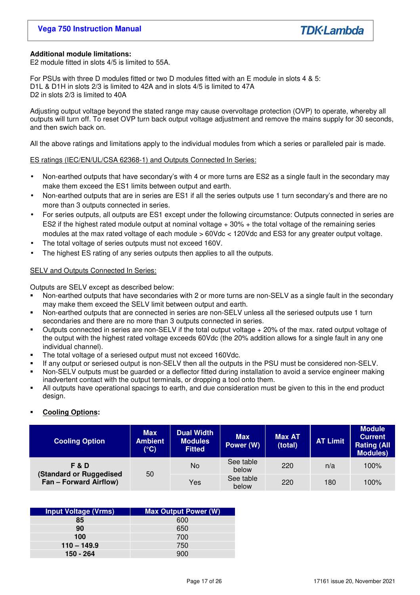## **Additional module limitations:**

E2 module fitted in slots 4/5 is limited to 55A.

For PSUs with three D modules fitted or two D modules fitted with an E module in slots 4 & 5: D1L & D1H in slots 2/3 is limited to 42A and in slots 4/5 is limited to 47A D2 in slots 2/3 is limited to 40A

Adjusting output voltage beyond the stated range may cause overvoltage protection (OVP) to operate, whereby all outputs will turn off. To reset OVP turn back output voltage adjustment and remove the mains supply for 30 seconds, and then swich back on.

All the above ratings and limitations apply to the individual modules from which a series or paralleled pair is made.

ES ratings (IEC/EN/UL/CSA 62368-1) and Outputs Connected In Series:

- Non-earthed outputs that have secondary's with 4 or more turns are ES2 as a single fault in the secondary may make them exceed the ES1 limits between output and earth.
- Non-earthed outputs that are in series are ES1 if all the series outputs use 1 turn secondary's and there are no more than 3 outputs connected in series.
- For series outputs, all outputs are ES1 except under the following circumstance: Outputs connected in series are ES2 if the highest rated module output at nominal voltage + 30% + the total voltage of the remaining series modules at the max rated voltage of each module > 60Vdc < 120Vdc and ES3 for any greater output voltage.
- The total voltage of series outputs must not exceed 160V.
- The highest ES rating of any series outputs then applies to all the outputs.

## SELV and Outputs Connected In Series:

Outputs are SELV except as described below:

- Non-earthed outputs that have secondaries with 2 or more turns are non-SELV as a single fault in the secondary may make them exceed the SELV limit between output and earth.
- Non-earthed outputs that are connected in series are non-SELV unless all the seriesed outputs use 1 turn secondaries and there are no more than 3 outputs connected in series.
- Outputs connected in series are non-SELV if the total output voltage + 20% of the max. rated output voltage of the output with the highest rated voltage exceeds 60Vdc (the 20% addition allows for a single fault in any one individual channel).
- The total voltage of a seriesed output must not exceed 160Vdc.
- If any output or seriesed output is non-SELV then all the outputs in the PSU must be considered non-SELV.
- Non-SELV outputs must be guarded or a deflector fitted during installation to avoid a service engineer making inadvertent contact with the output terminals, or dropping a tool onto them.
- All outputs have operational spacings to earth, and due consideration must be given to this in the end product design.

## **Cooling Options:**

| <b>Cooling Option</b>                                                      | <b>Max</b><br><b>Ambient</b><br>$(^{\circ}C)$ | <b>Dual Width</b><br><b>Modules</b><br><b>Fitted</b> | <b>Max</b><br>Power (W) | <b>Max AT</b><br>(total) | <b>AT Limit</b> | <b>Module</b><br><b>Current</b><br><b>Rating (All</b><br><b>Modules)</b> |
|----------------------------------------------------------------------------|-----------------------------------------------|------------------------------------------------------|-------------------------|--------------------------|-----------------|--------------------------------------------------------------------------|
| <b>F&amp;D</b><br>(Standard or Ruggedised<br><b>Fan - Forward Airflow)</b> | 50                                            | No                                                   | See table<br>below      | 220                      | n/a             | 100%                                                                     |
|                                                                            |                                               | Yes                                                  | See table<br>below      | 220                      | 180             | 100%                                                                     |

| <b>Input Voltage (Vrms)</b> | <b>Max Output Power (W)</b> |
|-----------------------------|-----------------------------|
| 85                          | 600                         |
| 90                          | 650                         |
| 100                         | 700                         |
| $110 - 149.9$               | 750                         |
| 150 - 264                   | 900                         |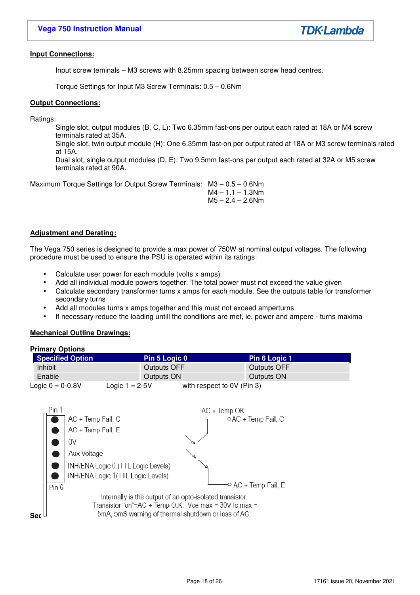## **Input Connections:**

Input screw teminals – M3 screws with 8.25mm spacing between screw head centres.

Torque Settings for Input M3 Screw Terminals: 0.5 – 0.6Nm

## **Output Connections:**

Ratings:

Single slot, output modules (B, C, L): Two 6.35mm fast-ons per output each rated at 18A or M4 screw terminals rated at 35A.

Single slot, twin output module (H): One 6.35mm fast-on per output rated at 18A or M3 screw terminals rated at 15A.

Dual slot, single output modules (D, E): Two 9.5mm fast-ons per output each rated at 32A or M5 screw terminals rated at 90A.

Maximum Torque Settings for Output Screw Terminals: M3 – 0.5 – 0.6Nm  $M4 - 1.1 - 1.3$ Nm

 $M5 - 2.4 - 2.6$ Nm

## **Adjustment and Derating:**

The Vega 750 series is designed to provide a max power of 750W at nominal output voltages. The following procedure must be used to ensure the PSU is operated within its ratings:

- Calculate user power for each module (volts x amps)
- Add all individual module powers together. The total power must not exceed the value given
- Calculate secondary transformer turns x amps for each module. See the outputs table for transformer secondary turns
- Add all modules turns x amps together and this must not exceed amperturns
- If necessary reduce the loading untill the conditions are met, ie. power and ampere turns maxima

## **Mechanical Outline Drawings:**

| <b>Primary Options</b>  |                    |                            |               |
|-------------------------|--------------------|----------------------------|---------------|
| <b>Specified Option</b> | Pin 5 Logic 0      |                            | Pin 6 Logic 1 |
| Inhibit                 | <b>Outputs OFF</b> |                            | Outputs OFF   |
| Enable                  | Outputs ON         |                            | Outputs ON    |
| Logic $0 = 0.8V$        | Logic $1 = 2-5V$   | with respect to 0V (Pin 3) |               |

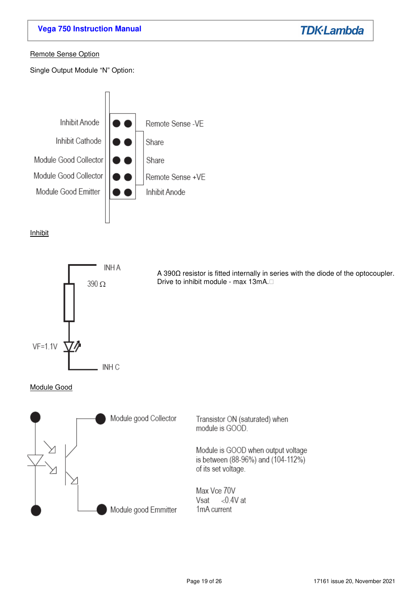# **Vega 750 Instruction Manual**

**TDK-Lambda** 

## Remote Sense Option

Single Output Module "N" Option:



## Inhibit



A 390Ω resistor is fitted internally in series with the diode of the optocoupler. Drive to inhibit module - max 13mA.

## Module Good

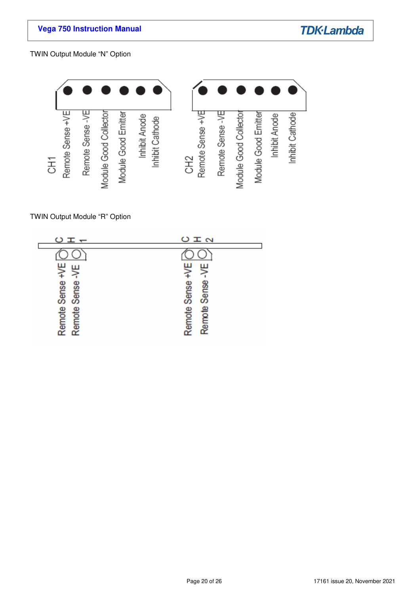TWIN Output Module "N" Option



TWIN Output Module "R" Option

| $ \pm$ $\circ$         | O I N                           |
|------------------------|---------------------------------|
| ₩<br>ш<br>Sense        | ₽<br>щ<br><b>Sense</b><br>Sense |
| Remote Sense<br>Remote | ₽<br>Remote<br>Remot            |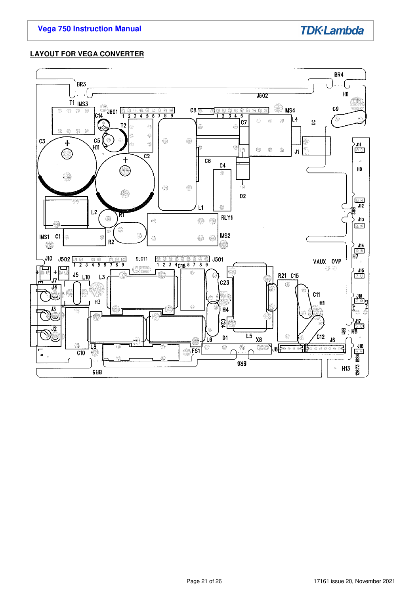# **LAYOUT FOR VEGA CONVERTER**

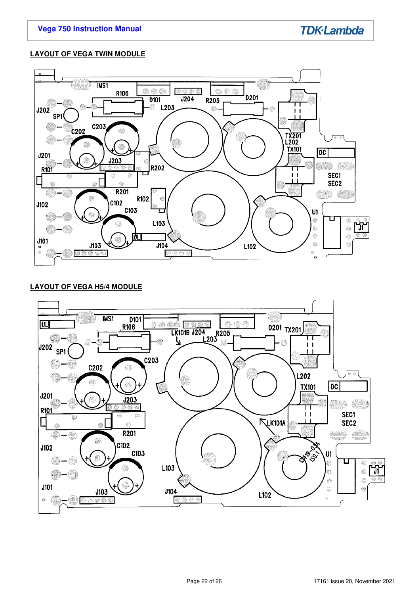## **LAYOUT OF VEGA TWIN MODULE**



## **LAYOUT OF VEGA H5/4 MODULE**

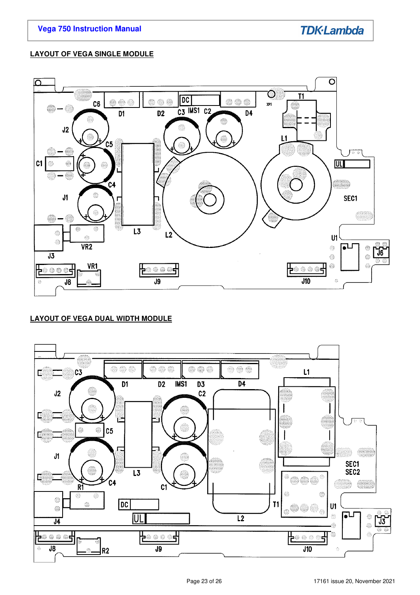## **LAYOUT OF VEGA SINGLE MODULE**



# **LAYOUT OF VEGA DUAL WIDTH MODULE**

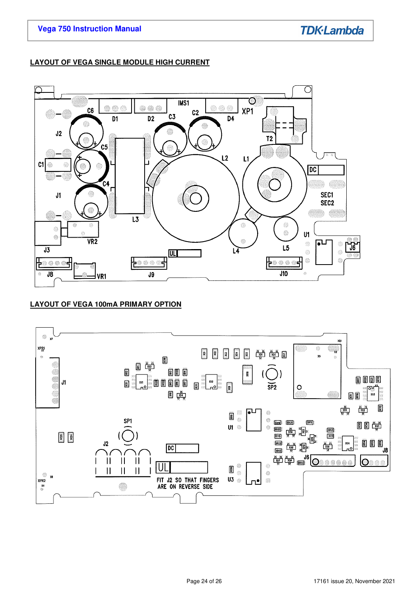## **LAYOUT OF VEGA SINGLE MODULE HIGH CURRENT**



# **LAYOUT OF VEGA 100mA PRIMARY OPTION**

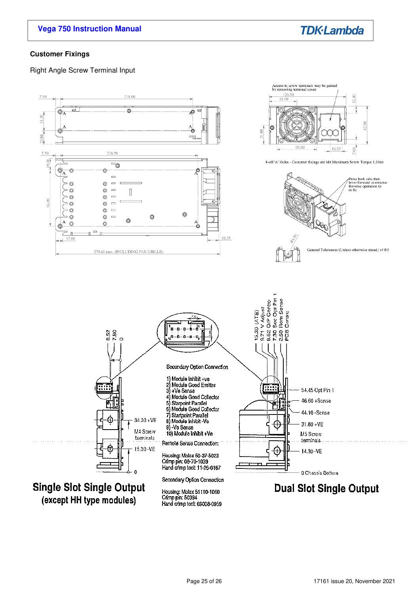# **Vega 750 Instruction Manual**



## **Customer Fixings**

Right Angle Screw Terminal Input